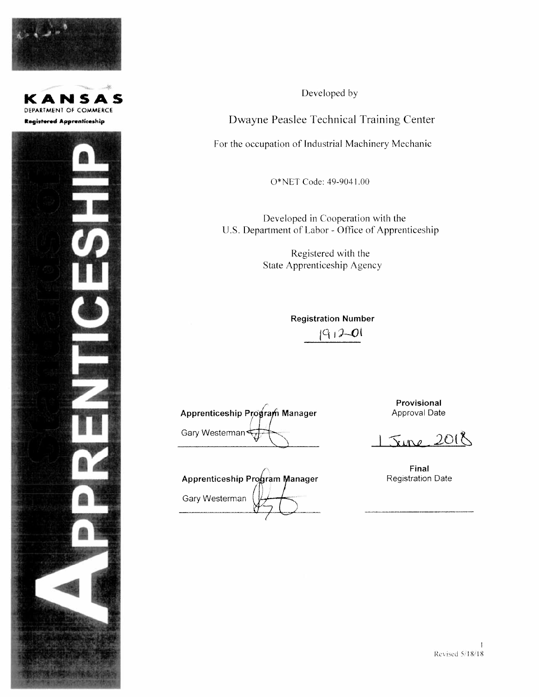





Developed by

Dwayne Peaslee Technical Training Center

For the occupation of Industrial Machinery Mechanic

O\*NET Code: 49-9041.00

Developed in Cooperation with the U.S. Department of Labor - Office of Apprenticeship

> Registered with the State Apprenticeship Agency

> > **Registration Number**  $191201$

Apprenticeship Program Manager Gary Westerman

Apprenticeship Program Manager Gary Westerman

Provisional Approval Date

 $Sine$  2018

Final **Registration Date**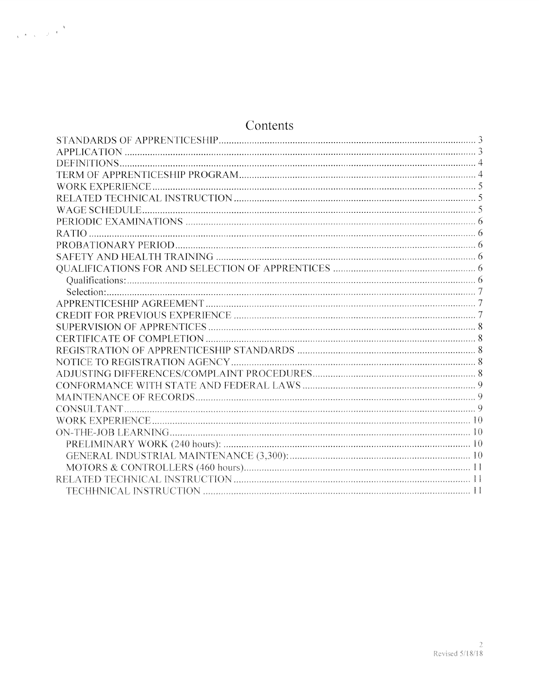# Contents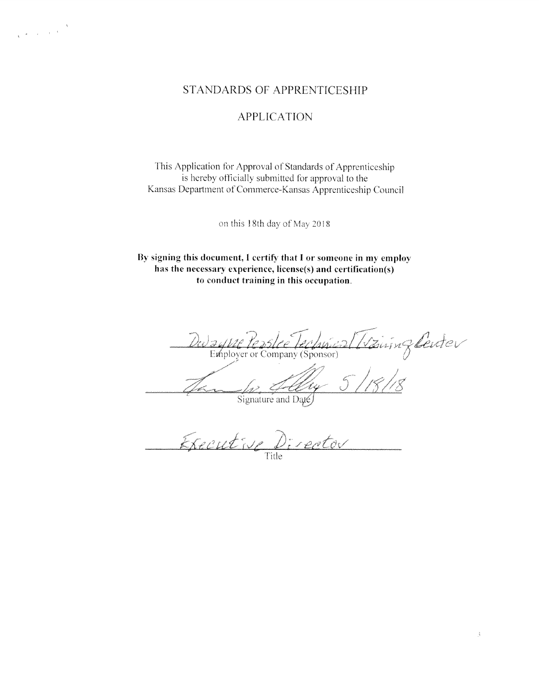$\label{eq:R} \begin{array}{c} \mathbf{X} \\ \mathbf{X} \end{array}$ 

# STANDARDS OF APPRENTICESHIP

# **APPLICATION**

This Application for Approval of Standards of Apprenticeship is hereby officially submitted for approval to the Kansas Department of Commerce-Kansas Apprenticeship Council

on this 18th day of May 2018

By signing this document, I certify that I or someone in my employ has the necessary experience, license(s) and certification(s) to conduct training in this occupation.

Vaisnzberter Employer or Company (Sponsor)

Ĵ,

Signature and Date

Executive Director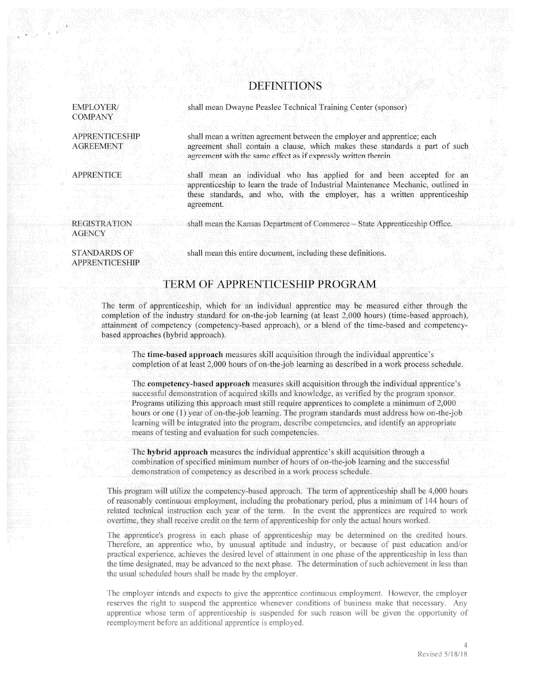## **DEFINITIONS**

shall mean Dwayne Peaslee Technical Training Center (sponsor)

EMPLOYER/ **COMPANY** 

**APPRENTICESHIP AGREEMENT** 

**APPRENTICE** 

shall mean a written agreement between the employer and apprentice; each agreement shall contain a clause, which makes these standards a part of such agreement with the same effect as if expressly written therein.

shall mean an individual who has applied for and been accepted for an apprenticeship to learn the trade of Industrial Maintenance Mechanic, outlined in these standards, and who, with the employer, has a written apprenticeship agreement.

shall mean the Kansas Department of Commerce -- State Apprenticeship Office.

**REGISTRATION AGENCY** 

**STANDARDS OF** 

**APPRENTICESHIP** 

shall mean this entire document, including these definitions.

# **TERM OF APPRENTICESHIP PROGRAM**

The term of apprenticeship, which for an individual apprentice may be measured either through the completion of the industry standard for on-the-job learning (at least 2,000 hours) (time-based approach), attainment of competency (competency-based approach), or a blend of the time-based and competencybased approaches (hybrid approach).

The time-based approach measures skill acquisition through the individual apprentice's completion of at least 2,000 hours of on-the-job learning as described in a work process schedule.

The competency-based approach measures skill acquisition through the individual apprentice's successful demonstration of acquired skills and knowledge, as verified by the program sponsor. Programs utilizing this approach must still require apprentices to complete a minimum of 2,000 hours or one (1) year of on-the-job learning. The program standards must address how on-the-job learning will be integrated into the program, describe competencies, and identify an appropriate means of testing and evaluation for such competencies.

The hybrid approach measures the individual apprentice's skill acquisition through a combination of specified minimum number of hours of on-the-job learning and the successful demonstration of competency as described in a work process schedule.

This program will utilize the competency-based approach. The term of apprenticeship shall be 4,000 hours of reasonably continuous employment, including the probationary period, plus a minimum of 144 hours of related technical instruction each year of the term. In the event the apprentices are required to work overtime, they shall receive credit on the term of apprenticeship for only the actual hours worked.

The apprentice's progress in each phase of apprenticeship may be determined on the credited hours. Therefore, an apprentice who, by unusual aptitude and industry, or because of past education and/or practical experience, achieves the desired level of attainment in one phase of the apprenticeship in less than the time designated, may be advanced to the next phase. The determination of such achievement in less than the usual scheduled hours shall be made by the employer.

The employer intends and expects to give the apprentice continuous employment. However, the employer reserves the right to suspend the apprentice whenever conditions of business make that necessary. Any apprentice whose term of apprenticeship is suspended for such reason will be given the opportunity of reemployment before an additional apprentice is employed.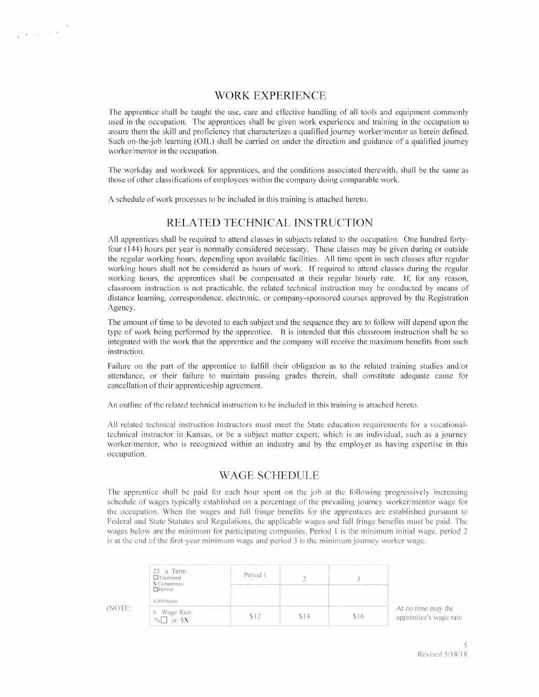# WORK EXPERIENCE

The apprentice shall he taught the use, care and effective handling of all tools and equipment commonly used in the occupation. The apprentices shall be given work experience and training in the occupation to assure them the skill and proficiency that characterizes a qualified journey worker/mentor as herein defined. Such on-the-job learning (OJL) shall be carried on under the direction and guidance of a qualified journey worker/mentor in the occupation.

The workday and workweek for apprentices, and the conditions associated therewith, shall he the same as those of other classifications of employees within the company doing comparable work.

A schedule of work processes to be included in this training is attached hereto.

 $\label{eq:R1} \frac{q}{q} = \frac{1}{q} \left( \frac{q}{q} \right)^{1 - \frac{1}{q}} \left( \frac{q}{q} \right)^{1 - \frac{1}{q}}$ 

## RELATED TECHNICAL INSTRUCTION

All apprentices shall be required to attend classes in subjects related to the occupation. One hundred forty four (144) hours per year is normally considered necessary. These classes may be given during or outside the regular working hours, depending upon available facilities. All time spen<sup>t</sup> in such classes after regular working hours shall not be considered as hours of work. If required to attend classes during the regular working hours, the apprentices shall be compensated at their regular hourly rate. If, for any reason, classroom instruction is not practicable, the related technical instruction may he conducted by means of distance learning, correspondence, electronic, or companysponsored courses approved by the Registration Agency.

The amount of time to be devoted to each subject and the sequence they are to follow will depend upon the type of work being performed by the apprentice. It is intended that this classroom instruction shall be so integrated with the work that the apprentice and the company will receive the maximum benefits from such instruction.

Failure on the par<sup>t</sup> of the apprentice to fulfill their obligation as to the related training studies and/or attendance, or their failure to maintain passing grades therein, shall constitute adequate cause for cancellation of their apprenticeship agreement.

An outline ofthe related technical instruction to he included in this training is attached hereto.

All related technical instruction Instructors must meet the State education requirements for a vocationaltechnical instructor in Kansas, or be <sup>a</sup> subject matter expert, which is an individual, such as <sup>a</sup> journey worker/mentor, who is recognized within an industry and by the employer as having expertise in this occupation.

# WAGE SCHEDULE

The apprentice shall he paid for each hour spen<sup>t</sup> on the job at the following progressively increasing schedule of wages typically established on a percentage of the prevailing journey worker/mentor wage for the occupation. When the wages and full fringe benefits for the apprentices are established pursuant to Federal and State Statutes and Regulations, the applicable wages and full fringe benefits must be paid. The wages below are the minimum for participating companies. Period 1 is the minimum initial wage, period 2 is at the end of the first-year minimum wage and period 3 is the minimum journey worker wage.

| 25. a. Term:<br><b>El Traditional</b><br>X Competency | Period 1 |    |
|-------------------------------------------------------|----------|----|
| 4,000 hours                                           |          |    |
| b. Wage Rate<br>$\frac{9}{6}$ or $\frac{6}{5}$        |          | Ιh |

(NOTE:

At no time may the apprentice's wage rate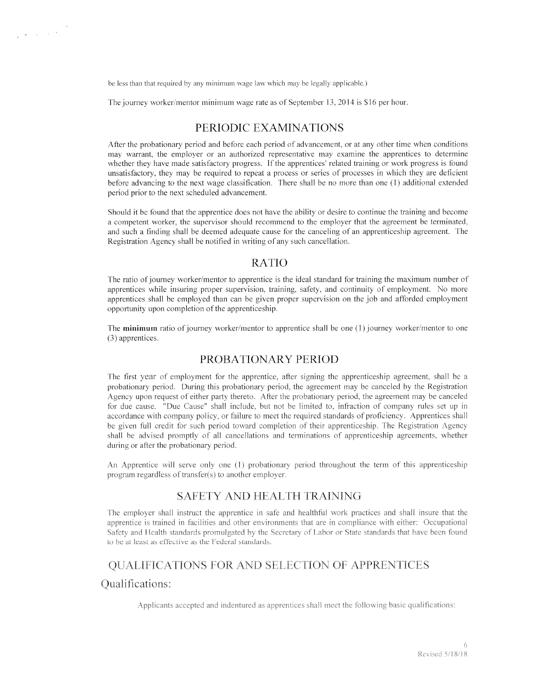he less than that required by any minimum wage law which may he legally applicable.)

The journey worker/mentor minimum wage rate as of September 13, 2014 is \$16 per hour.

## PERIODIC EXAMINATIONS

After the probationary period and before each period of advancement, or at any other time when conditions may warrant, the employer or an authorized representative may examine the apprentices to determine whether they have made satisfactory progress. If the apprentices' related training or work progress is found unsatisfactory, they may be required to repea<sup>t</sup> <sup>a</sup> process or series of processes in which they are deficient before advancing to the next wage classification. There shall be no more than one (I) additional extended period prior to the next scheduled advancement.

Should it be found that the apprentice does not have the ability or desire to continue the training and become <sup>a</sup> competent worker, the supervisor should recommend to the employer that the agreemen<sup>t</sup> be terminated, and such <sup>a</sup> finding shall be deemed adequate cause for the canceling of an apprenticeship agreement. The Registration Agency shall be notified in writing of any such cancellation.

## RATIO

The ratio of journey worker/mentor to apprentice is the ideal standard for training the maximum number of apprentices while insuring proper supervision, training, safety, and continuity of employment. No more apprentices shall be employed than can be given proper supervision on the job and afforded employment opportunity upon completion of the apprenticeship.

The minimum ratio of journey worker/mentor to apprentice shall be one (1) journey worker/mentor to one (3) apprentices.

### PROBATIONARY PERIOD

The first year of employment for the apprentice, after signing the apprenticeship agreement, shall be <sup>a</sup> probationary period. During this probationary period, the agreemen<sup>t</sup> may be canceled by the Registration Agency upon request of either party thereto. After the probationary period, the agreement may be canceled for due cause. "Due Cause" shall include, hut not he limited to. infraction of company rules set up in accordance with company policy, or failure to meet the required standards of proficiency. Apprentices shall he given full credit for such period toward completion of their apprenticeship. The Registration Agency shall he advised promptly of all cancellations and terminations of apprenticeship agreements, whether during or after the probationary period.

An Apprentice will serve only one (I) probationary period throughout the term of this apprenticeship program regardless of transfer(s) to another employer.

#### SAFETY AND HEALTH TRAINING

The employer shall instruct the apprentice in safe and healthful work practices and shall insure that the. apprentice is trained in facilities and other environments that are in compliance with either: Occupational Safety and Health standards promulgated by the Secretary of Labor or State standards that have been found to be at least as effective as the Federal standards.

# QUALIFICATIONS FOR AND SELECTION OF APPRENTICES

#### Qualifications:

 $\frac{1}{4} \begin{pmatrix} \frac{1}{2} & \frac{1}{2} & \frac{1}{2} & \frac{1}{2} \\ \frac{1}{2} & \frac{1}{2} & \frac{1}{2} & \frac{1}{2} & \frac{1}{2} \\ \frac{1}{2} & \frac{1}{2} & \frac{1}{2} & \frac{1}{2} & \frac{1}{2} \\ \frac{1}{2} & \frac{1}{2} & \frac{1}{2} & \frac{1}{2} & \frac{1}{2} \\ \frac{1}{2} & \frac{1}{2} & \frac{1}{2} & \frac{1}{2} & \frac{1}{2} \\ \frac{1}{2} & \frac{1}{2}$ 

Applicants accepted and indentured as apprentices shall meet the following basic qualifications: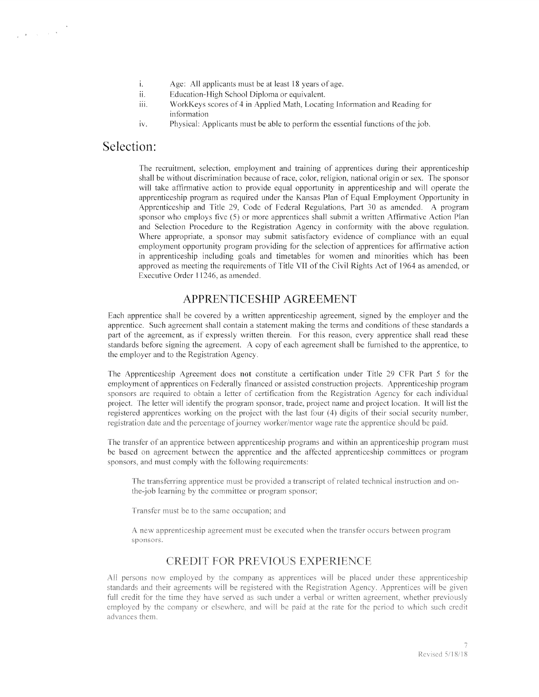- $\mathbf{i}$ . Age: All applicants must be at least 18 years of age.
- ii. Education-High School Diploma or equivalent.
- iii. WorkKeys scores of 4 in Applied Math. Locating Information and Reading for information
- iv. Physical: Applicants must be able to perform the essential functions of the job.

# Selection:

 $\label{eq:2.1} \begin{array}{c} \mathbf{a} & \mathbf{b} \\ \mathbf{c} & \mathbf{c} \\ \mathbf{d} & \mathbf{c} \end{array}$ 

The recruitment, selection, employment and training of apprentices during their apprenticeship shall be without discrimination because of race, color, religion, national origin or sex. The sponsor will take affirmative action to provide equal opportunity in apprenticeship and will operate the apprenticeship program as required under the Kansas Plan of Equal Employment Opportunity in Apprenticeship and Title 29, Code of Federal Regulations, Part 30 as amended. A program sponsor who employs five (5) or more apprentices shall submit <sup>a</sup> written Affirmative Action Plan and Selection Procedure to the Registration Agency in conformity with the above regulation. Where appropriate, <sup>a</sup> sponsor may submit satisfactory evidence of compliance with an equal employment opportunity program providing for the selection of apprentices for affirmative action in apprenticeship including goals and timetables for women and minorities which has been approved as meeting the requirements of Title VII of the Civil Rights Act of 1964 as amended, or Executive Order 11246, as amended,

# APPRENTICESHIP AGREEMENT

Each apprentice shall be covered by <sup>a</sup> written apprenticeship agreement, signed by the employer and the apprentice. Such agreemen<sup>t</sup> shall contain <sup>a</sup> statement making the terms and conditions of these standards <sup>a</sup> par<sup>t</sup> of the agreement, as if expressly written therein. For this reason, every apprentice shall read these standards before signing the agreement. A copy of each agreemen<sup>t</sup> shall be furnished to the apprentice, to the employer and to the Registration Agency.

The Apprenticeship Agreement does not constitute <sup>a</sup> certification under Title 29 CFR Part 5 for the employment of apprentices on Federally financed or assisted construction projects. Apprenticeship program sponsors are required to obtain <sup>a</sup> letter of certification from the Registration Agency for each individual project. The letter will identify the program sponsor, trade, project name and project location. It will list the registered apprentices working on the project with the last four (4) digits of their social security number, registration date and the percentage of journey worker/mentor wage rate the apprentice should be paid.

The transfer of an apprentice between apprenticeship programs and within an apprenticeship program must he based on agreemen<sup>t</sup> between the apprentice and the affected apprenticeship committees or program sponsors, and must comply with the following requirements:

The transferring apprentice must be provided a transcript of related technical instruction and onthe-job learning by the committee or program sponsor;

Transfer must be to the same occupation; and

A new apprenticeship agreement must be executed when the transfer occurs between program sponsors.

# CREDIT FOR PREVIOUS EXPERIENCE

All persons now employed by the company as apprentices will be placed under these apprenticeship standards and their agreements will be registered with the Registration Agency. Apprentices will be given full credit for the time they have served as such under a verbal or written agreement, whether previously employed by the company or elsewhere, and will be paid at the rate for the period to which such credit advances them.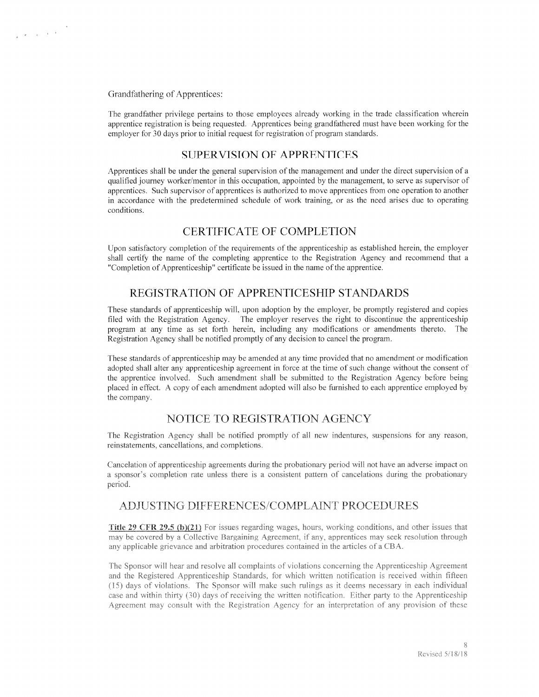#### Grandfathering of Apprentices:

The grandfather privilege pertains to those employees already working in the trade classification wherein apprentice registration is being requested. Apprentices being grandfathered must have been working for the employer for 30 days prior to initial reques<sup>t</sup> for registration of program standards.

#### SUPERVISION OF APPRENTICES

Apprentices shall be under the general supervision of the managemen<sup>t</sup> and under the direct supervision of <sup>a</sup> qualified journey worker/mentor in this occupation, appointed by the management, to serve as supervisor of apprentices. Such supervisor of apprentices is authorized to move apprentices from one operation to another in accordance with the predetermined schedule of work training, or as the need arises due to operating conditions.

## CERTIFICATE OF COMPLETION

Upon satisfactory completion of the requirements of the apprenticeship as established herein, the employer shall certify the name of the completing apprentice to the Registration Agency and recommend that <sup>a</sup> "Completion of Apprenticeship" certificate be issued in the name of the apprentice.

## REGISTRATION OF APPRENTICESHIP STANDARDS

These standards of apprenticeship will. upon adoption by the employer, be promptly registered and copies filed with the Registration Agency. The employer reserves the right to discontinue the apprenticeship program at any time as set forth herein, including any modifications or amendments thereto. The Registration Agency shall be notified promptly of any decision to cancel the program.

These standards of apprenticeship may be amended at any time provided that no amendment or modification adopted shall alter any apprenticeship agreemen<sup>t</sup> in force at the time of such change without the consent of the apprentice involved. Such amendment shall be submitted to the Registration Agency before being placed in effect. A copy of each amendment adopted will also be furnished to each apprentice employed by the company.

#### NOTICE TO REGISTRATION AGENCY

The Registration Agency shall be notified promptly of all new indentures, suspensions for any reason, reinstatements, cancellations, and completions.

Cancelation of apprenticeship agreements during the probationary period will not have an adverse impact on a sponsor's completion rate unless there is a consistent pattern of cancelations during the probationary period.

#### ADUSTING DIFFERENCES/COMPLAINT PROCEDURES

**Title 29 CFR 29.5 (b)(21)** For issues regarding wages, hours, working conditions, and other issues that may be covered by a Collective Bargaining Agreement, if any, apprentices may seek resolution through any applicable grievance and arbitration procedures contained in the articles of a CBA.

The Sponsor will hear and resolve all complaints of violations concerning the Apprenticeship Agreement and the Registered Apprenticeship Standards, for which written notification is received within fifteen (15) days of violations. The Sponsor will make such rulings as it deems necessary in each individual case and within thirty (30) days of receiving the written notification. Either party to the Apprenticeship Agreement may consult with the Registration Agency for an interpretation of any provision of these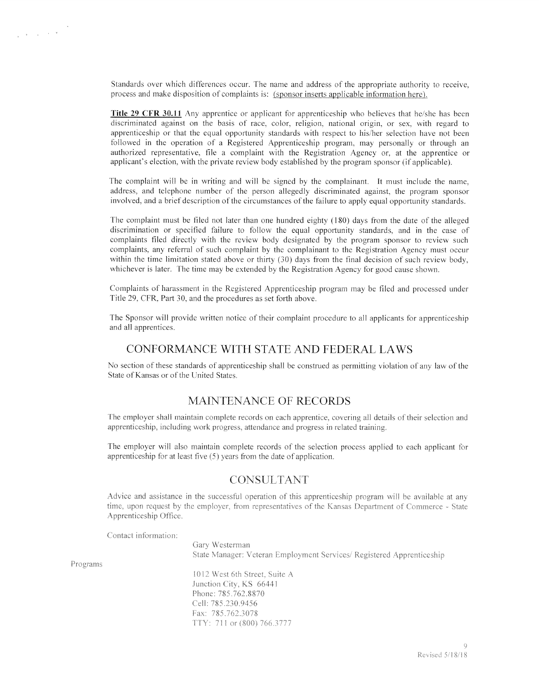Standards over which differences occur. The name and address of the appropriate authority to receive. process and make disposition of complaints is: (sponsor inserts applicable information here).

Title 29 CFR 30.11 Any apprentice or applicant for apprenticeship who believes that he/she has been discriminated against on the basis of race. color. religion, national origin, or sex. with reard to apprenticeship or that the equal opportunity standards with respect to his/her selection have not been followed in the operation of <sup>a</sup> Registered Apprenticeship program. nav personally or through an authorized representative, tile <sup>a</sup> complaint with the Registration Agency or. at the apprentice or applicant's election, with the private review body established by the program sponsor (if applicable).

The complaint will be in writing and will he signed by the complainant. It must include the name. address, and telephone number of the person allegedly discriminated against, the program sponsor involved, and a brief description of the circumstances of the failure to apply equal opportunity standards.

The complaint must be filed not later than one hundred eighty (180) days from the date of the alleged discrimination or specified failure to follow the equal opportunity standards, and in the case of complaints tiled directly with the review body designated by the program sponsor to review such complaints, any referral of such complaint by the complainant to the Registration Agency must occur within the time limitation stated above or thirty (30) days from the final decision of such review body, whichever is later. The time may be extended by the Registration Agency for good cause shown.

Complaints of harassment in the Registered Apprenticeship program may be filed and processed under Title 29. CER. Part 30. and the procedures as set forth above.

The Sponsor will provide written notice ot their complaint procedure to all applicants br apprenticeship and all apprentices.

#### CONFORMANCE WITH STATE AND FEDERAL LAWS

No section of these standards of apprenticeship shall be construed as permitting violation of any law of the State of Kansas or of the United States.

## MAINTENANCE OF RECORDS

The employer shall maintain complete records on each apprentice, covering all details of their selection and apprenticeship. including work progress. attendance and progress in related training,

The employer will also maintain complete records of the selection process applied to each applicant for apprenticeship for at least five (5) years from the date of application.

### **CONSULTANT**

Advice and assistance in the successful operation of this apprenticeship program will be available at any time, upon request by the employer, from representatives of the Kansas Department of Commerce - State Apprenticeship Office.

Contact information:

Gary Westerman State Manager: Veteran Employment Services/ Registered Apprenticeship

Programs

1012 West 6th Street, Suite A Junction City, KS 66441 Phone: 785.762.8870 Cell: 785.230.9456 Fax: 785.762.3078 TTY: 711 or (800) 766.3777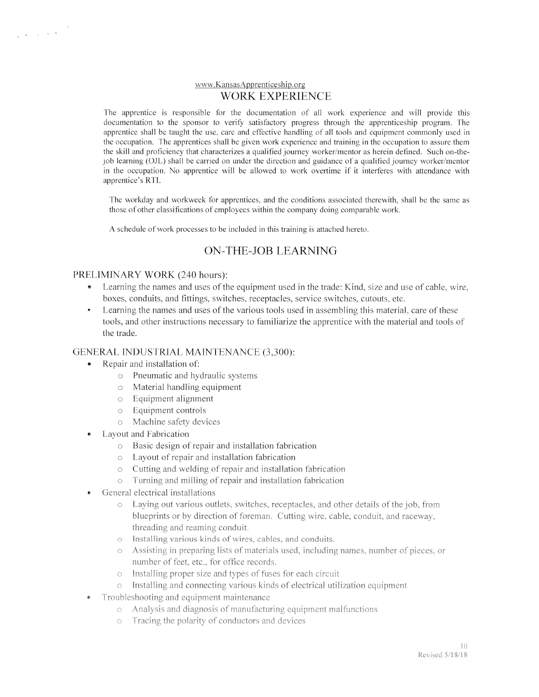#### www.KansasApprenticeship.org WORK EXPERIENCE

The apprentice is responsible for the documentation of all work experience and will provide this documentation to the sponsor to verify satisfactory progress through the apprenticeship program. The apprentice shall be taught the use, care and effective handling of all tools and equipment commonly used in the occupation. The apprentices shall be given work experience and training in the occupation to assure them the skill and proficiency that characterizes a qualified journey worker/mentor as herein defined. Such on-thejob learning (OJL) shall be carried on under the direction and guidance of <sup>a</sup> qualified journey worker/mentor in the occupation. No apprentice will be allowed to work overtime if it interferes with attendance with apprentice's RTI.

The workday and workweek for apprentices, and the conditions associated therewith, shall be the same as those of other classifications of employees within the company doing comparable work.

A schedule of work processes to be included in this training is attached hereto.

# ON-THE-JOB LEARNING

#### PRELIMINARY WORK (240 hours):

- •Learning the names and uses of the equipment used in the trade: Kind, size and use of cable, wire, boxes, conduits, and fittings, switches, receptacles, service switches, cutouts, etc
- Learning the names and uses of the various tools used in assembling this material, care of these tools, and other instructions necessary to familiarize the apprentice with the material and tools of the trade.

#### GENERAL INDUSTRIAL MAINTENANCE (3,300):

- • Repair and installation of:
	- <sup>o</sup> Pneumatic and hydraulic systems
	- <sup>o</sup> Material handling equipment
	- <sup>o</sup> Equipment alignment
	- <sup>o</sup> Equipment controls
	- o Machine safety devices
- $\bullet$  Layout and Fabrication
	- <sup>o</sup> Basic design of repair and installation fabrication
	- <sup>o</sup> Layout of repair and installation fabrication
	- <sup>o</sup> Cutting and welding of repair and installation fabrication
	- <sup>o</sup> Turning and milling of repair and installation fabrication
- • General electrical installations
	- Laying out various outlets, switches, receptacles, and other details of the job, from blueprints or by direction of foreman. Cutting wire, cable, conduit, and raceway, threading and reaming conduit.
	- o Installing various kinds of wires, cables, and conduits.
	- Assisting in preparing lists of materials used, including names, number of pieces, or  $\ddot{\circ}$ number of feet, etc., for office records.
	- o linstalling proper size and types of fuses for each circuit
	- $\circ$  Installing and connecting various kinds of electrical utilization equipment.
- •Troubleshooting and equipment maintenance
	- $\circ$  Analysis and diagnosis of manufacturing equipment malfunctions.
	- Tracing the polarity of conductors and devices  $\circ$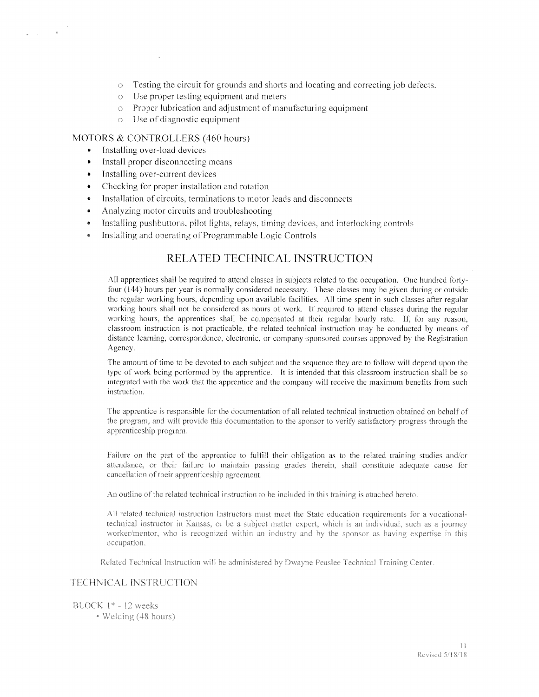- <sup>o</sup> Testing the circuit tor grounds and shorts and locating and correctmg job defects.
- <sup>o</sup> Use proper testing equipment and meters
- $\circ$  Proper lubrication and adjustment of manufacturing equipment
- $\circ$  Use of diagnostic equipment

#### MOTORS & CONTROLLERS (460 hours)

•Installing over—load devices

 $\label{eq:1} \omega_{\rm{max}} = \sqrt{1 - \frac{1}{2} \left( \frac{1}{\sqrt{2}} \right)^2}$ 

- •install proper disconnecting means
- Installing over—current devices
- •Checking for proper installation and rotation
- Installation of circuits. terminations to motor leads and disconnects
- •Analyzing motor circuits and troubleshooting
- •Installing pushbuttons, pilot lights, relays, timing devices, and interlocking controls
- •Installing and operating of Programmable Logic Controls

# RELATED TECHNICAL iNSTRUCTION

All apprentices shall be required to attend classes in subjects related to the occupation. One hundred fortyfour (144) hours per year is normally considered necessary. These classes may be given during or outside the regular working hours. depending upon available facilities. All time spen<sup>t</sup> in such classes after regular working hours shall not be considered as hours of work. If required to attend classes during the regular working hours, the apprentices shall be compensated at their regular hourly rate. If, for any reason, classroom instruction is not practicable. the related technical instruction may be conducted by means of distance learning, correspondence. electronic, or company-sponsored courses approved by the Registration Agency.

The amount of time to be devoted to each subject and the sequence they are to follow will depend upon the type of work being performed by the apprentice. It is intended that this classroom instruction shall be so integrated with the work that the apprentice and the company will receive the maximum henetits from such instruction.

The apprentice is responsible for the documentation of all related technical instruction obtained on behalf of the program, and will provide this documentation to the sponsor to verify satisfactory progress through the apprenticeship program.

Failure on the par<sup>t</sup> of the apprentice to fulfill their obligation as to the related training studies and/or attendance, or their failure to maintain passing grades therein, shall constitute adequate cause for cancellation of their apprenticeship agreemen<sup>t</sup>

An outline of the related technical instruction to be included in this training is attached hereto.

All related technical instruction Instructors must meet the State education requirements for a vocationaltechnical instructor in Kansas, or be <sup>a</sup> subject matter expert, which is an individual, such <sup>a</sup> <sup>a</sup> journey worker/mentor, who is recognized within an industry and by the sponsor as having expertise in this occupation.

Related Technical Instruction will be administered by Dwayne Peaslee Technical Training Center.

#### TECHNICAL INSTRUCTION

 $BLOCK$  1\* - 12 weeks

• Welding (48 hours)